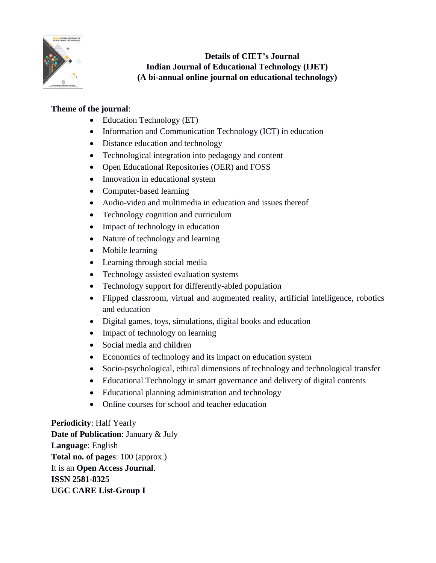

**Details of CIET's Journal Indian Journal of Educational Technology (IJET) (A bi-annual online journal on educational technology)**

## **Theme of the journal**:

- Education Technology (ET)
- Information and Communication Technology (ICT) in education
- Distance education and technology
- Technological integration into pedagogy and content
- Open Educational Repositories (OER) and FOSS
- Innovation in educational system
- Computer-based learning
- Audio-video and multimedia in education and issues thereof
- Technology cognition and curriculum
- Impact of technology in education
- Nature of technology and learning
- Mobile learning
- Learning through social media
- Technology assisted evaluation systems
- Technology support for differently-abled population
- Flipped classroom, virtual and augmented reality, artificial intelligence, robotics and education
- Digital games, toys, simulations, digital books and education
- Impact of technology on learning
- Social media and children
- Economics of technology and its impact on education system
- Socio-psychological, ethical dimensions of technology and technological transfer
- Educational Technology in smart governance and delivery of digital contents
- Educational planning administration and technology
- Online courses for school and teacher education

**Periodicity**: Half Yearly **Date of Publication**: January & July **Language**: English **Total no. of pages**: 100 (approx.) It is an **Open Access Journal**. **ISSN 2581-8325 UGC CARE List-Group I**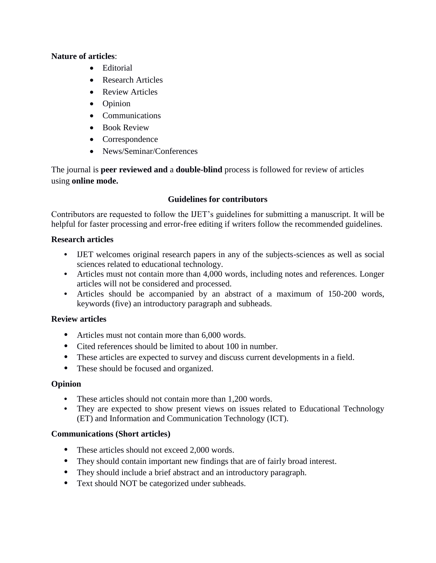### **Nature of articles**:

- Editorial
- Research Articles
- Review Articles
- Opinion
- Communications
- Book Review
- Correspondence
- News/Seminar/Conferences

The journal is **peer reviewed and** a **double-blind** process is followed for review of articles using **online mode.**

## **Guidelines for contributors**

Contributors are requested to follow the IJET's guidelines for submitting a manuscript. It will be helpful for faster processing and error-free editing if writers follow the recommended guidelines.

## **Research articles**

- **•** IJET welcomes original research papers in any of the subjects-sciences as well as social sciences related to educational technology.
- Articles must not contain more than 4,000 words, including notes and references. Longer articles will not be considered and processed.
- **•** Articles should be accompanied by an abstract of a maximum of 150-200 words, keywords (five) an introductory paragraph and subheads.

# **Review articles**

- **•** Articles must not contain more than 6,000 words.
- **•** Cited references should be limited to about 100 in number.
- **•** These articles are expected to survey and discuss current developments in a field.
- These should be focused and organized.

# **Opinion**

- **•** These articles should not contain more than 1,200 words.
- They are expected to show present views on issues related to Educational Technology (ET) and Information and Communication Technology (ICT).

# **Communications (Short articles)**

- These articles should not exceed 2,000 words.
- **•** They should contain important new findings that are of fairly broad interest.
- **•** They should include a brief abstract and an introductory paragraph.
- **•** Text should NOT be categorized under subheads.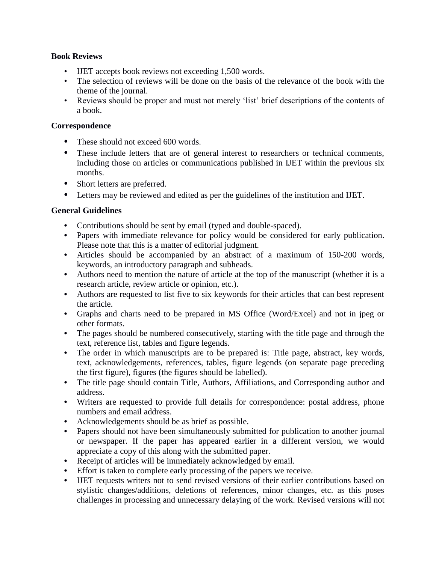### **Book Reviews**

- IJET accepts book reviews not exceeding 1,500 words.
- The selection of reviews will be done on the basis of the relevance of the book with the theme of the journal.
- Reviews should be proper and must not merely 'list' brief descriptions of the contents of a book.

### **Correspondence**

- **•** These should not exceed 600 words.
- These include letters that are of general interest to researchers or technical comments, including those on articles or communications published in IJET within the previous six months.
- **•** Short letters are preferred.
- **•** Letters may be reviewed and edited as per the guidelines of the institution and IJET.

## **General Guidelines**

- **•** Contributions should be sent by email (typed and double-spaced).
- **•** Papers with immediate relevance for policy would be considered for early publication. Please note that this is a matter of editorial judgment.
- **•** Articles should be accompanied by an abstract of a maximum of 150-200 words, keywords, an introductory paragraph and subheads.
- **•** Authors need to mention the nature of article at the top of the manuscript (whether it is a research article, review article or opinion, etc.).
- **•** Authors are requested to list five to six keywords for their articles that can best represent the article.
- **•** Graphs and charts need to be prepared in MS Office (Word/Excel) and not in jpeg or other formats.
- The pages should be numbered consecutively, starting with the title page and through the text, reference list, tables and figure legends.
- **•** The order in which manuscripts are to be prepared is: Title page, abstract, key words, text, acknowledgements, references, tables, figure legends (on separate page preceding the first figure), figures (the figures should be labelled).
- **•** The title page should contain Title, Authors, Affiliations, and Corresponding author and address.
- **•** Writers are requested to provide full details for correspondence: postal address, phone numbers and email address.
- **•** Acknowledgements should be as brief as possible.
- **•** Papers should not have been simultaneously submitted for publication to another journal or newspaper. If the paper has appeared earlier in a different version, we would appreciate a copy of this along with the submitted paper.
- **•** Receipt of articles will be immediately acknowledged by email.
- **•** Effort is taken to complete early processing of the papers we receive.
- **•** IJET requests writers not to send revised versions of their earlier contributions based on stylistic changes/additions, deletions of references, minor changes, etc. as this poses challenges in processing and unnecessary delaying of the work. Revised versions will not